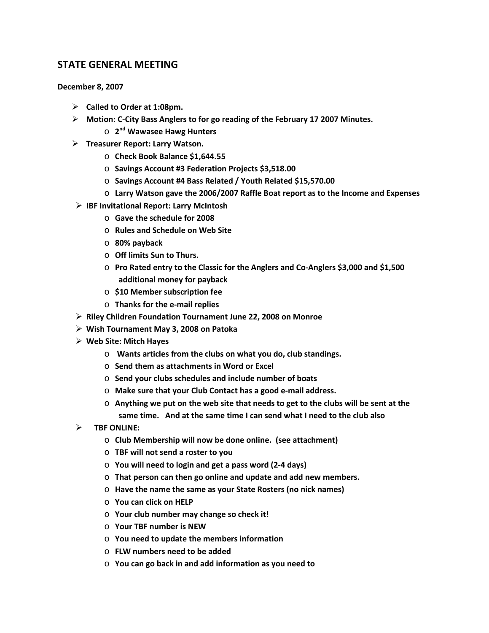## **STATE GENERAL MEETING**

**December 8, 2007**

- **Called to Order at 1:08pm.**
- **Motion: C-City Bass Anglers to for go reading of the February 17 2007 Minutes.**
	- o **2nd Wawasee Hawg Hunters**
- **Treasurer Report: Larry Watson.**
	- o **Check Book Balance \$1,644.55**
	- o **Savings Account #3 Federation Projects \$3,518.00**
	- o **Savings Account #4 Bass Related / Youth Related \$15,570.00**
	- o **Larry Watson gave the 2006/2007 Raffle Boat report as to the Income and Expenses**
- **IBF Invitational Report: Larry McIntosh**
	- o **Gave the schedule for 2008**
	- o **Rules and Schedule on Web Site**
	- o **80% payback**
	- o **Off limits Sun to Thurs.**
	- o **Pro Rated entry to the Classic for the Anglers and Co-Anglers \$3,000 and \$1,500 additional money for payback**
	- o **\$10 Member subscription fee**
	- o **Thanks for the e-mail replies**
- **Riley Children Foundation Tournament June 22, 2008 on Monroe**
- **Wish Tournament May 3, 2008 on Patoka**
- **Web Site: Mitch Hayes**
	- o **Wants articles from the clubs on what you do, club standings.**
	- o **Send them as attachments in Word or Excel**
	- o **Send your clubs schedules and include number of boats**
	- o **Make sure that your Club Contact has a good e-mail address.**
	- o **Anything we put on the web site that needs to get to the clubs will be sent at the same time. And at the same time I can send what I need to the club also**
- **TBF ONLINE:** 
	- o **Club Membership will now be done online. (see attachment)**
	- o **TBF will not send a roster to you**
	- o **You will need to login and get a pass word (2-4 days)**
	- o **That person can then go online and update and add new members.**
	- o **Have the name the same as your State Rosters (no nick names)**
	- o **You can click on HELP**
	- o **Your club number may change so check it!**
	- o **Your TBF number is NEW**
	- o **You need to update the members information**
	- o **FLW numbers need to be added**
	- o **You can go back in and add information as you need to**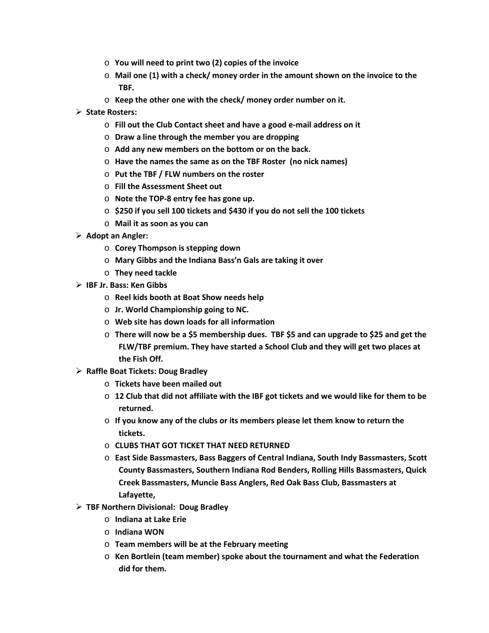- o **You will need to print two (2) copies of the invoice**
- o **Mail one (1) with a check/ money order in the amount shown on the invoice to the TBF.**
- o **Keep the other one with the check/ money order number on it.**
- **State Rosters:**
	- o **Fill out the Club Contact sheet and have a good e-mail address on it**
	- o **Draw a line through the member you are dropping**
	- o **Add any new members on the bottom or on the back.**
	- o **Have the names the same as on the TBF Roster (no nick names)**
	- o **Put the TBF / FLW numbers on the roster**
	- o **Fill the Assessment Sheet out**
	- o **Note the TOP-8 entry fee has gone up.**
	- o **\$250 if you sell 100 tickets and \$430 if you do not sell the 100 tickets**
	- o **Mail it as soon as you can**
- **Adopt an Angler:**
	- o **Corey Thompson is stepping down**
	- o **Mary Gibbs and the Indiana Bass'n Gals are taking it over**
	- o **They need tackle**
- **IBF Jr. Bass: Ken Gibbs**
	- o **Reel kids booth at Boat Show needs help**
	- o **Jr. World Championship going to NC.**
	- o **Web site has down loads for all information**
	- o **There will now be a \$5 membership dues. TBF \$5 and can upgrade to \$25 and get the FLW/TBF premium. They have started a School Club and they will get two places at the Fish Off.**
- **Raffle Boat Tickets: Doug Bradley**
	- o **Tickets have been mailed out**
	- o **12 Club that did not affiliate with the IBF got tickets and we would like for them to be returned.**
	- o **If you know any of the clubs or its members please let them know to return the tickets.**
	- o **CLUBS THAT GOT TICKET THAT NEED RETURNED**
	- o **East Side Bassmasters, Bass Baggers of Central Indiana, South Indy Bassmasters, Scott County Bassmasters, Southern Indiana Rod Benders, Rolling Hills Bassmasters, Quick Creek Bassmasters, Muncie Bass Anglers, Red Oak Bass Club, Bassmasters at Lafayette,**
- **TBF Northern Divisional: Doug Bradley**
	- o **Indiana at Lake Erie**
	- o **Indiana WON**
	- o **Team members will be at the February meeting**
	- o **Ken Bortlein (team member) spoke about the tournament and what the Federation did for them.**